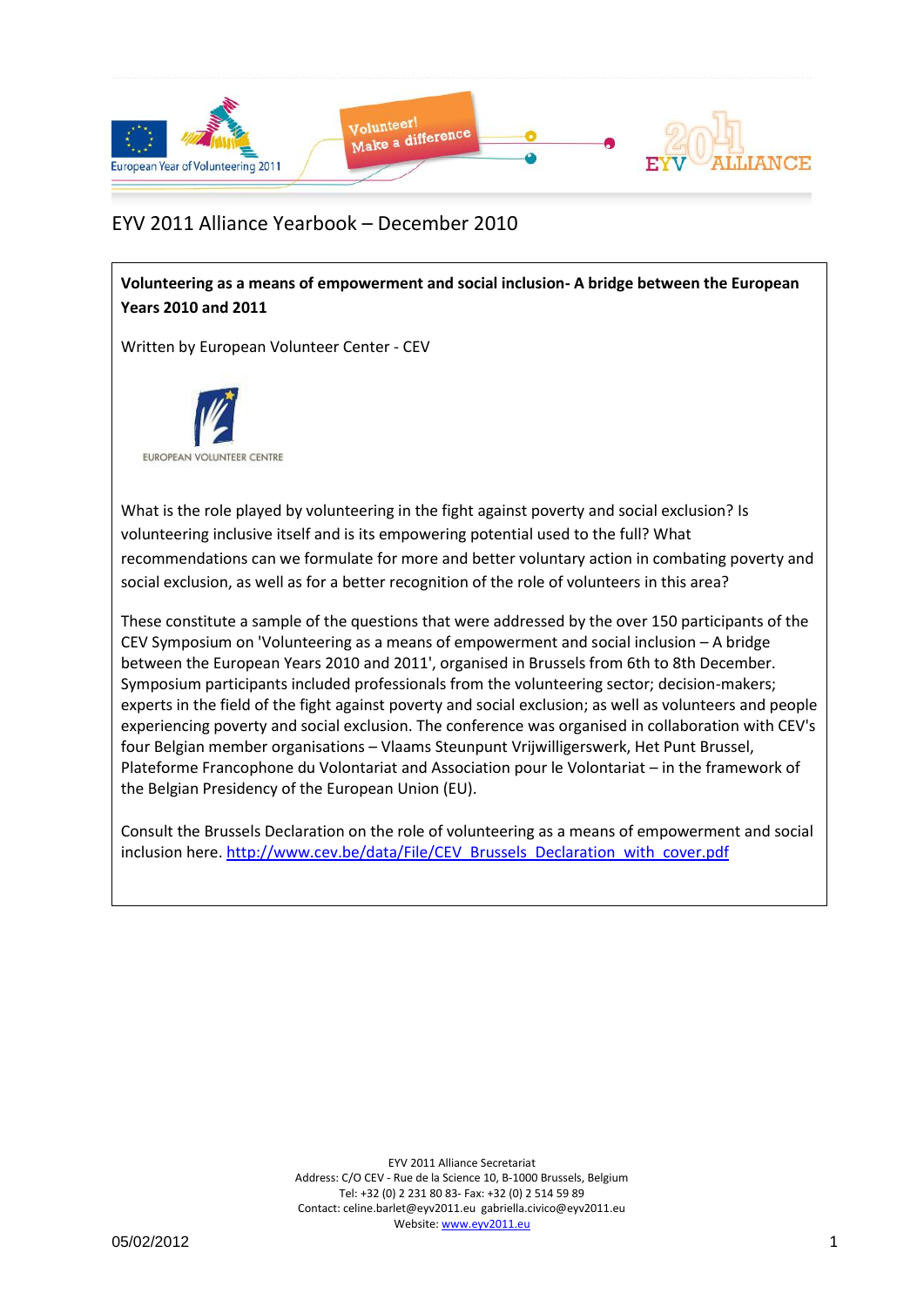

## EYV 2011 Alliance Yearbook – December 2010

**Volunteering as a means of empowerment and social inclusion- A bridge between the European Years 2010 and 2011**

Written by European Volunteer Center - CEV



What is the role played by volunteering in the fight against poverty and social exclusion? Is volunteering inclusive itself and is its empowering potential used to the full? What recommendations can we formulate for more and better voluntary action in combating poverty and social exclusion, as well as for a better recognition of the role of volunteers in this area?

These constitute a sample of the questions that were addressed by the over 150 participants of the CEV Symposium on 'Volunteering as a means of empowerment and social inclusion – A bridge between the European Years 2010 and 2011', organised in Brussels from 6th to 8th December. Symposium participants included professionals from the volunteering sector; decision-makers; experts in the field of the fight against poverty and social exclusion; as well as volunteers and people experiencing poverty and social exclusion. The conference was organised in collaboration with CEV's four Belgian member organisations – Vlaams Steunpunt Vrijwilligerswerk, Het Punt Brussel, Plateforme Francophone du Volontariat and Association pour le Volontariat – in the framework of the Belgian Presidency of the European Union (EU).

Consult the Brussels Declaration on the role of volunteering as a means of empowerment and social inclusion [here.](http://www.cev.be/data/File/CEV_Brussels_Declaration_with_cover.pdf) [http://www.cev.be/data/File/CEV\\_Brussels\\_Declaration\\_with\\_cover.pdf](http://www.cev.be/data/File/CEV_Brussels_Declaration_with_cover.pdf)

> EYV 2011 Alliance Secretariat Address: C/O CEV - Rue de la Science 10, B-1000 Brussels, Belgium Tel: +32 (0) 2 231 80 83- Fax: +32 (0) 2 514 59 89 Contact: celine.barlet@eyv2011.eu gabriella.civico@eyv2011.eu Website: www.eyv2011.eu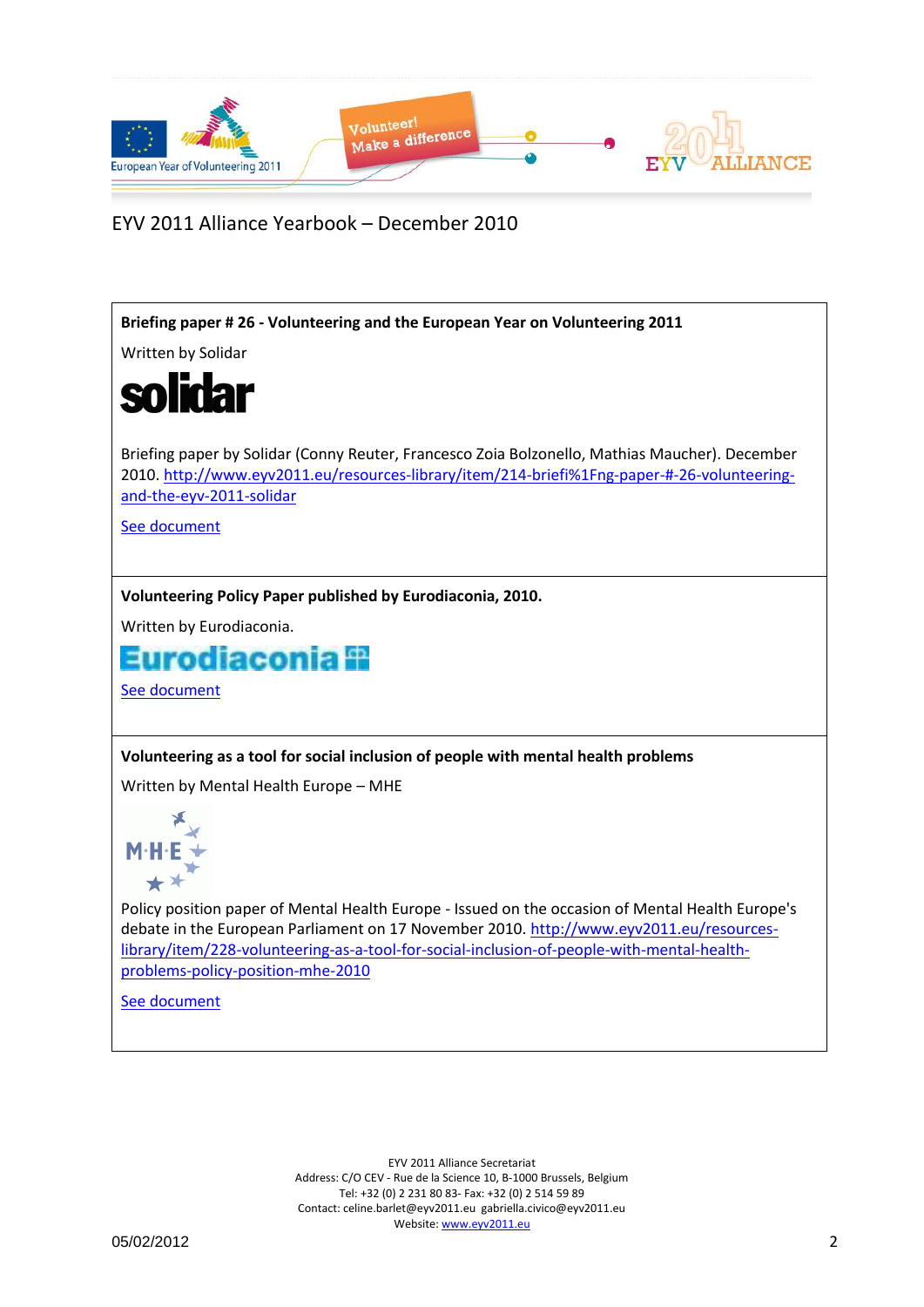

EYV 2011 Alliance Yearbook – December 2010



[See document](See%20document)

EYV 2011 Alliance Secretariat Address: C/O CEV - Rue de la Science 10, B-1000 Brussels, Belgium Tel: +32 (0) 2 231 80 83- Fax: +32 (0) 2 514 59 89 Contact: celine.barlet@eyv2011.eu gabriella.civico@eyv2011.eu Website: www.eyv2011.eu